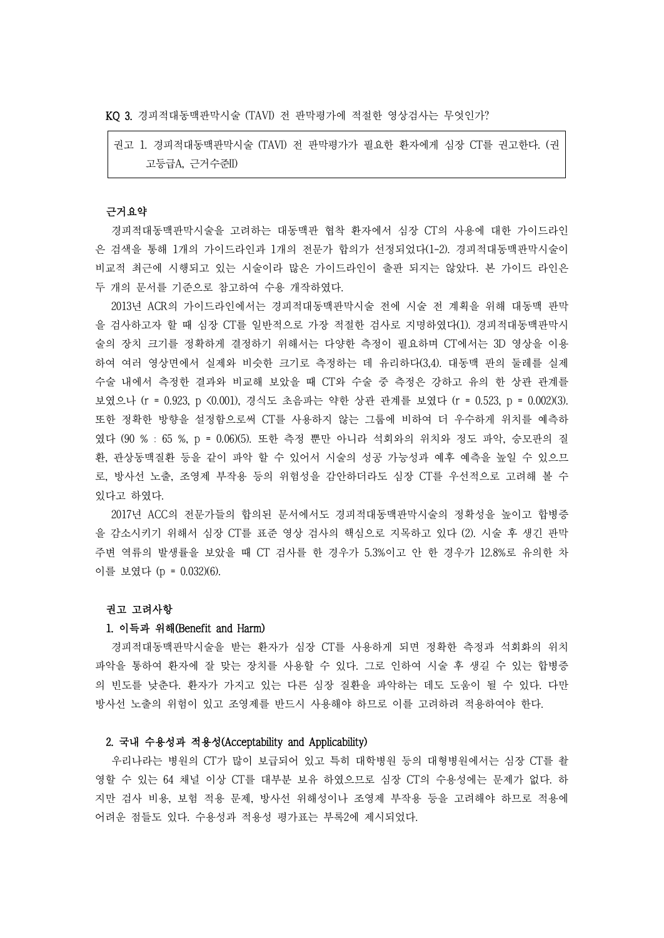KQ 3. 경피적대동맥판막시술 (TAVI) 전 판막평가에 적절한 영상검사는 무엇인가?

권고 1. 경피적대동맥판막시술 (TAVI) 전 판막평가가 필요한 환자에게 심장 CT를 권고한다. (권 고등급A, 근거수준II)

## 근거요약

경피적대동맥판막시술을 고려하는 대동맥판 협착 환자에서 심장 CT의 사용에 대한 가이드라인 은 검색을 통해 1개의 가이드라인과 1개의 전문가 합의가 선정되었다(1-2). 경피적대동맥판막시술이 비교적 최근에 시행되고 있는 시술이라 많은 가이드라인이 출판 되지는 않았다. 본 가이드 라인은 두 개의 문서를 기준으로 참고하여 수용 개작하였다.

2013년 ACR의 가이드라인에서는 경피적대동맥판막시술 전에 시술 전 계획을 위해 대동맥 판막 을 검사하고자 할 때 심장 CT를 일반적으로 가장 적절한 검사로 지명하였다(1). 경피적대동맥판막시 술의 장치 크기를 정확하게 결정하기 위해서는 다양한 측정이 필요하며 CT에서는 3D 영상을 이용 하여 여러 영상면에서 실제와 비슷한 크기로 측정하는 데 유리하다(3,4). 대동맥 판의 둘레를 실제 수술 내에서 측정한 결과와 비교해 보았을 때 CT와 수술 중 측정은 강하고 유의 한 상관 관계를 보였으나 (r = 0.923, p <0.001), 경식도 초음파는 약한 상관 관계를 보였다 (r = 0.523, p = 0.002)(3). 또한 정확한 방향을 설정함으로써 CT를 사용하지 않는 그룹에 비하여 더 우수하게 위치를 예측하 였다 (90 % : 65 %, p = 0.06)(5). 또한 측정 뿐만 아니라 석회와의 위치와 정도 파악, 승모판의 질 환, 관상동맥질환 등을 같이 파악 할 수 있어서 시술의 성공 가능성과 예후 예측을 높일 수 있으므 로, 방사선 노출, 조영제 부작용 등의 위험성을 감안하더라도 심장 CT를 우선적으로 고려해 볼 수 있다고 하였다.

2017년 ACC의 전문가들의 합의된 문서에서도 경피적대동맥판막시술의 정확성을 높이고 합병증 을 감소시키기 위해서 심장 CT를 표준 영상 검사의 핵심으로 지목하고 있다 (2). 시술 후 생긴 판막 주변 역류의 발생률을 보았을 때 CT 검사를 한 경우가 5.3%이고 안 한 경우가 12.8%로 유의한 차 이를 보였다 (p = 0.032)(6).

### 권고 고려사항

#### 1. 이득과 위해(Benefit and Harm)

경피적대동맥판막시술을 받는 환자가 심장 CT를 사용하게 되면 정확한 측정과 석회화의 위치 파악을 통하여 환자에 잘 맞는 장치를 사용할 수 있다. 그로 인하여 시술 후 생길 수 있는 합병증 의 빈도를 낮춘다. 환자가 가지고 있는 다른 심장 질환을 파악하는 데도 도움이 될 수 있다. 다만 방사선 노출의 위험이 있고 조영제를 반드시 사용해야 하므로 이를 고려하려 적용하여야 한다.

### 2. 국내 수용성과 적용성(Acceptability and Applicability)

우리나라는 병원의 CT가 많이 보급되어 있고 특히 대학병원 등의 대형병원에서는 심장 CT를 촬 영할 수 있는 64 채널 이상 CT를 대부분 보유 하였으므로 심장 CT의 수용성에는 문제가 없다. 하 지만 검사 비용, 보험 적용 문제, 방사선 위해성이나 조영제 부작용 등을 고려해야 하므로 적용에 어려운 점들도 있다. 수용성과 적용성 평가표는 부록2에 제시되었다.